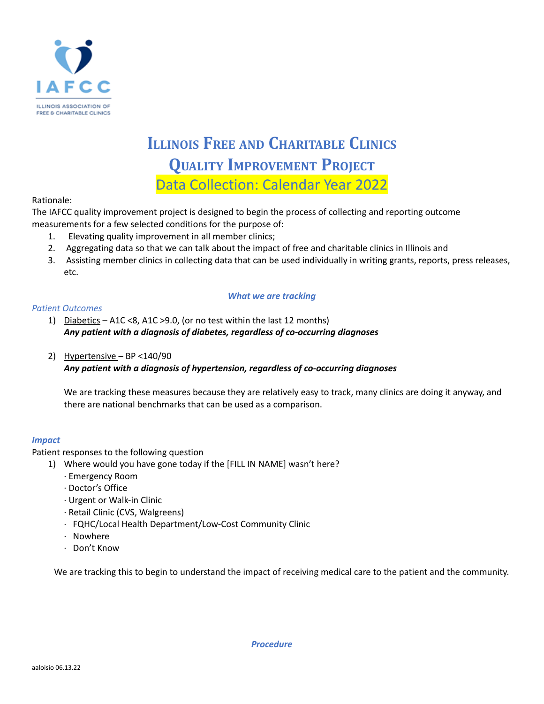

# **ILLINOIS FREE AND CHARITABLE CLINICS QUALITY IMPROVEMENT PROJECT** Data Collection: Calendar Year 2022

Rationale:

The IAFCC quality improvement project is designed to begin the process of collecting and reporting outcome measurements for a few selected conditions for the purpose of:

- 1. Elevating quality improvement in all member clinics;
- 2. Aggregating data so that we can talk about the impact of free and charitable clinics in Illinois and
- 3. Assisting member clinics in collecting data that can be used individually in writing grants, reports, press releases, etc.

#### *What we are tracking*

#### *Patient Outcomes*

- 1) Diabetics A1C <8, A1C >9.0, (or no test within the last 12 months) *Any patient with a diagnosis of diabetes, regardless of co-occurring diagnoses*
- 2) Hypertensive BP <140/90

*Any patient with a diagnosis of hypertension, regardless of co-occurring diagnoses*

We are tracking these measures because they are relatively easy to track, many clinics are doing it anyway, and there are national benchmarks that can be used as a comparison.

### *Impact*

Patient responses to the following question

- 1) Where would you have gone today if the [FILL IN NAME] wasn't here?
	- · Emergency Room
	- · Doctor's Office
	- · Urgent or Walk-in Clinic
	- · Retail Clinic (CVS, Walgreens)
	- · FQHC/Local Health Department/Low-Cost Community Clinic
	- · Nowhere
	- · Don't Know

We are tracking this to begin to understand the impact of receiving medical care to the patient and the community.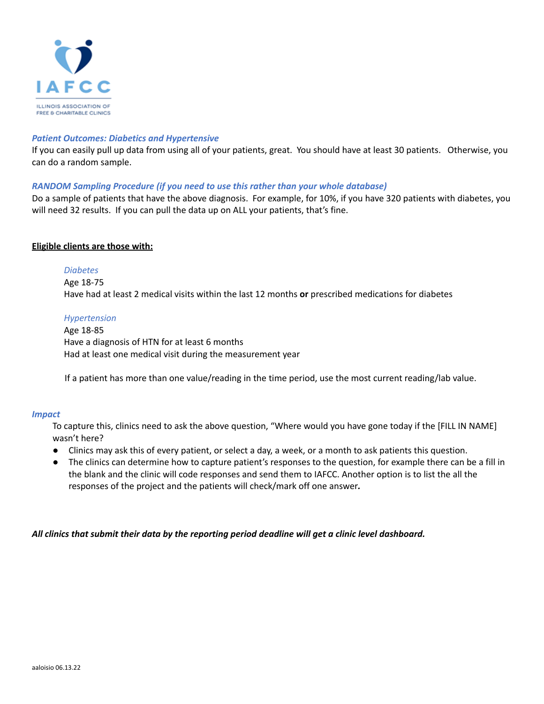

#### *Patient Outcomes: Diabetics and Hypertensive*

If you can easily pull up data from using all of your patients, great. You should have at least 30 patients. Otherwise, you can do a random sample.

#### *RANDOM Sampling Procedure (if you need to use this rather than your whole database)*

Do a sample of patients that have the above diagnosis. For example, for 10%, if you have 320 patients with diabetes, you will need 32 results. If you can pull the data up on ALL your patients, that's fine.

#### **Eligible clients are those with:**

#### *Diabetes*

Age 18-75 Have had at least 2 medical visits within the last 12 months **or** prescribed medications for diabetes

#### *Hypertension*

Age 18-85 Have a diagnosis of HTN for at least 6 months Had at least one medical visit during the measurement year

If a patient has more than one value/reading in the time period, use the most current reading/lab value.

#### *Impact*

To capture this, clinics need to ask the above question, "Where would you have gone today if the [FILL IN NAME] wasn't here?

- Clinics may ask this of every patient, or select a day, a week, or a month to ask patients this question.
- *●* The clinics can determine how to capture patient's responses to the question, for example there can be a fill in the blank and the clinic will code responses and send them to IAFCC. Another option is to list the all the responses of the project and the patients will check/mark off one answer*.*

*All clinics that submit their data by the reporting period deadline will get a clinic level dashboard.*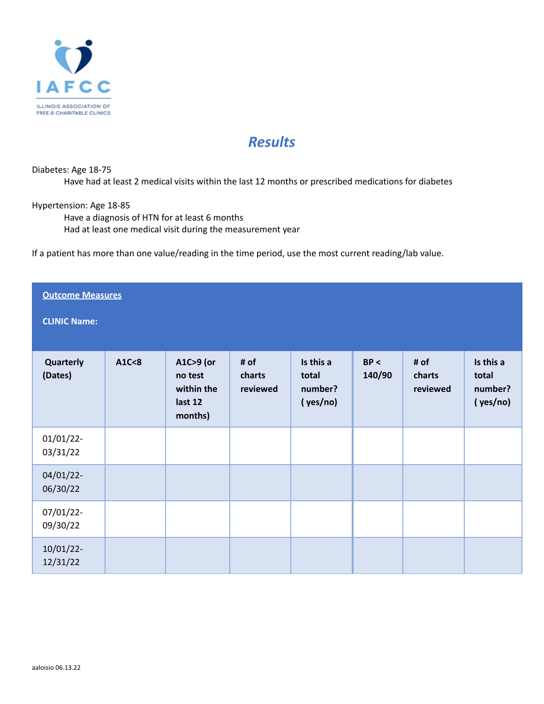

# *Results*

## Diabetes: Age 18-75

Have had at least 2 medical visits within the last 12 months or prescribed medications for diabetes

# Hypertension: Age 18-85

Have a diagnosis of HTN for at least 6 months Had at least one medical visit during the measurement year

If a patient has more than one value/reading in the time period, use the most current reading/lab value.

| <b>Outcome Measures</b>  |       |                                                          |                            |                                           |                |                            |                                           |  |
|--------------------------|-------|----------------------------------------------------------|----------------------------|-------------------------------------------|----------------|----------------------------|-------------------------------------------|--|
| <b>CLINIC Name:</b>      |       |                                                          |                            |                                           |                |                            |                                           |  |
| Quarterly<br>(Dates)     | A1C<8 | A1C>9 (or<br>no test<br>within the<br>last 12<br>months) | # of<br>charts<br>reviewed | Is this a<br>total<br>number?<br>(yes/no) | BP <<br>140/90 | # of<br>charts<br>reviewed | Is this a<br>total<br>number?<br>(yes/no) |  |
| $01/01/22$ -<br>03/31/22 |       |                                                          |                            |                                           |                |                            |                                           |  |
| 04/01/22-<br>06/30/22    |       |                                                          |                            |                                           |                |                            |                                           |  |
| 07/01/22-<br>09/30/22    |       |                                                          |                            |                                           |                |                            |                                           |  |
| $10/01/22$ -<br>12/31/22 |       |                                                          |                            |                                           |                |                            |                                           |  |